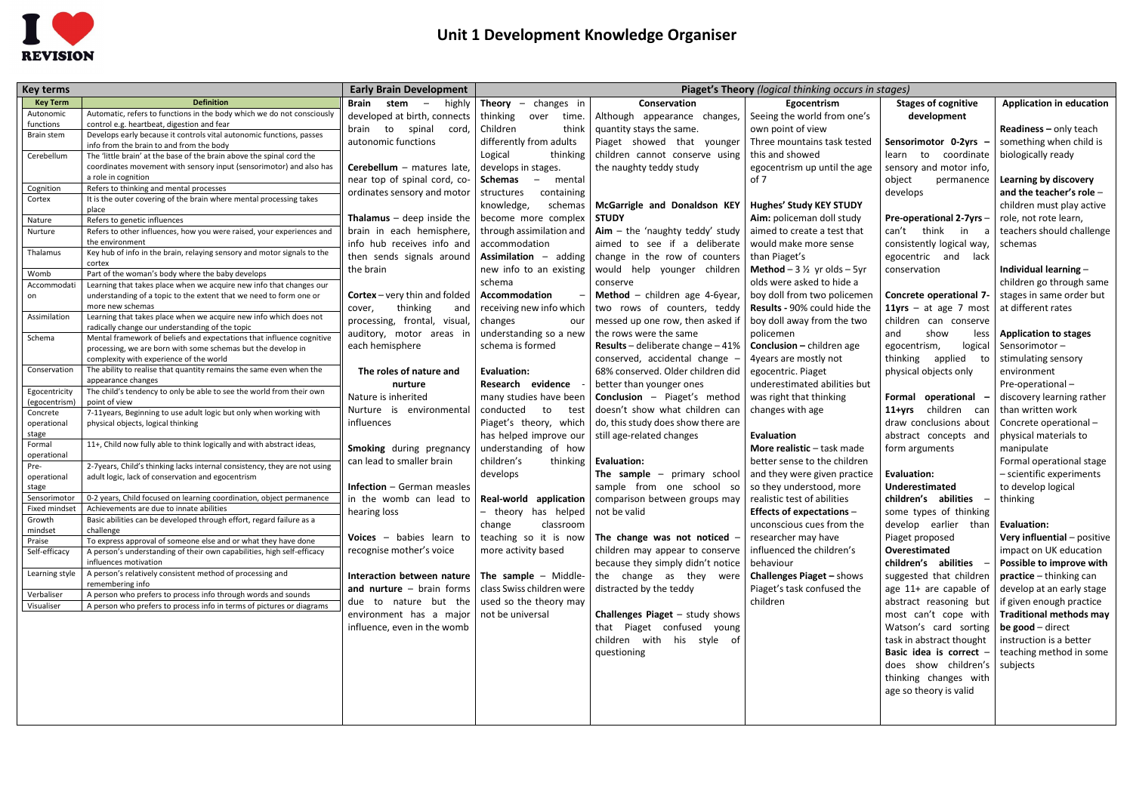

## **Unit 1 Development Knowledge Organiser**

|                         |                                                                                                                                           |                                                                                       | Piaget's Theory (logical thinking occurs in stages)     |                                                                                                                |                                               |                                |                                 |
|-------------------------|-------------------------------------------------------------------------------------------------------------------------------------------|---------------------------------------------------------------------------------------|---------------------------------------------------------|----------------------------------------------------------------------------------------------------------------|-----------------------------------------------|--------------------------------|---------------------------------|
| <b>Key terms</b>        | <b>Definition</b>                                                                                                                         | <b>Early Brain Development</b>                                                        |                                                         |                                                                                                                |                                               |                                |                                 |
| <b>Key Term</b>         | Automatic, refers to functions in the body which we do not consciously                                                                    | Brain stem<br>highly<br>$\overline{\phantom{0}}$                                      | <b>Theory</b><br>changes in<br>$\overline{\phantom{a}}$ | Conservation                                                                                                   | Egocentrism                                   | <b>Stages of cognitive</b>     | <b>Application in education</b> |
| Autonomic<br>functions  | control e.g. heartbeat, digestion and fear                                                                                                | developed at birth, connects                                                          | thinking<br>over<br>time.                               | Although appearance changes,                                                                                   | Seeing the world from one's                   | development                    |                                 |
| <b>Brain stem</b>       | Develops early because it controls vital autonomic functions, passes                                                                      | brain to spinal<br>cord,                                                              | Children<br>think                                       | quantity stays the same.                                                                                       | own point of view                             |                                | <b>Readiness</b> $-$ only teach |
|                         | info from the brain to and from the body                                                                                                  | autonomic functions                                                                   | differently from adults                                 | Piaget showed that younger                                                                                     | Three mountains task tested                   | Sensorimotor 0-2yrs            | something when child is         |
| Cerebellum              | The 'little brain' at the base of the brain above the spinal cord the                                                                     |                                                                                       | Logical<br>thinking                                     | children cannot conserve using                                                                                 | this and showed                               | learn to coordinate            | biologically ready              |
|                         | coordinates movement with sensory input (sensorimotor) and also has                                                                       | Cerebellum - matures late,                                                            | develops in stages.                                     | the naughty teddy study                                                                                        | egocentrism up until the age                  | sensory and motor info,        |                                 |
|                         | a role in cognition                                                                                                                       | near top of spinal cord, co-                                                          | Schemas<br>mental<br>$\sim$                             |                                                                                                                | of 7                                          | object<br>permanence           | Learning by discovery           |
| Cognition               | Refers to thinking and mental processes<br>It is the outer covering of the brain where mental processing takes                            | ordinates sensory and motor                                                           | containing<br>structures                                |                                                                                                                |                                               | develops                       | and the teacher's role $-$      |
| Cortex                  | place                                                                                                                                     |                                                                                       | knowledge,<br>schemas                                   | McGarrigle and Donaldson KEY                                                                                   | <b>Hughes' Study KEY STUDY</b>                |                                | children must play active       |
| Nature                  | Refers to genetic influences                                                                                                              | <b>Thalamus</b> $-$ deep inside the                                                   | become more complex                                     | <b>STUDY</b>                                                                                                   | Aim: policeman doll study                     | <b>Pre-operational 2-7yrs-</b> | role, not rote learn,           |
| Nurture                 | Refers to other influences, how you were raised, your experiences and                                                                     | brain in each hemisphere,                                                             |                                                         | through assimilation and $\vert$ Aim – the 'naughty teddy' study                                               | aimed to create a test that                   | can't think<br>in.<br>a        | teachers should challenge       |
|                         | the environment                                                                                                                           | info hub receives info and                                                            | accommodation                                           | aimed to see if a deliberate                                                                                   | would make more sense                         | consistently logical way,      | schemas                         |
| Thalamus                | Key hub of info in the brain, relaying sensory and motor signals to the                                                                   | then sends signals around                                                             | Assimilation - adding                                   | change in the row of counters                                                                                  | than Piaget's                                 | egocentric and lack            |                                 |
|                         | cortex                                                                                                                                    | the brain                                                                             | new info to an existing                                 | would help younger children                                                                                    | <b>Method</b> $-3\frac{1}{2}$ yr olds $-5$ yr | conservation                   | Individual learning -           |
| Womb                    | Part of the woman's body where the baby develops                                                                                          |                                                                                       | schema                                                  | conserve                                                                                                       | olds were asked to hide a                     |                                | children go through same        |
| Accommodati<br>on       | Learning that takes place when we acquire new info that changes our<br>understanding of a topic to the extent that we need to form one or | <b>Cortex</b> – very thin and folded                                                  | Accommodation                                           | Method - children age 4-6year,                                                                                 | boy doll from two policemen                   | Concrete operational 7-        | stages in same order but        |
|                         | more new schemas                                                                                                                          | thinking<br>cover,<br>and                                                             | receiving new info which                                | two rows of counters, teddy                                                                                    | Results - 90% could hide the                  | 11yrs $-$ at age 7 most        | at different rates              |
| Assimilation            | Learning that takes place when we acquire new info which does not                                                                         | processing, frontal, visual,                                                          | changes<br>our                                          | messed up one row, then asked if                                                                               | boy doll away from the two                    | children can conserve          |                                 |
|                         | radically change our understanding of the topic                                                                                           | auditory, motor areas in                                                              | understanding so a new                                  | the rows were the same                                                                                         |                                               | show<br>and                    |                                 |
| Schema                  | Mental framework of beliefs and expectations that influence cognitive                                                                     |                                                                                       | schema is formed                                        |                                                                                                                | policemen                                     | less                           | <b>Application to stages</b>    |
|                         | processing, we are born with some schemas but the develop in                                                                              | each hemisphere                                                                       |                                                         | Results - deliberate change - 41%                                                                              | <b>Conclusion</b> – children age              | egocentrism,<br>logical        | Sensorimotor-                   |
|                         | complexity with experience of the world                                                                                                   |                                                                                       |                                                         | conserved, accidental change -                                                                                 | 4years are mostly not                         | thinking applied<br>to         | stimulating sensory             |
| Conservation            | The ability to realise that quantity remains the same even when the<br>appearance changes                                                 | The roles of nature and                                                               | Evaluation:                                             | 68% conserved. Older children did                                                                              | egocentric. Piaget                            | physical objects only          | environment                     |
| Egocentricity           | The child's tendency to only be able to see the world from their own                                                                      | nurture                                                                               | Research evidence                                       | better than younger ones                                                                                       | underestimated abilities but                  |                                | Pre-operational-                |
| (egocentrism)           | point of view                                                                                                                             | Nature is inherited                                                                   | many studies have been                                  | <b>Conclusion</b> - Piaget's method                                                                            | was right that thinking                       | Formal operational             | discovery learning rather       |
| Concrete                | 7-11years, Beginning to use adult logic but only when working with                                                                        | Nurture is environmental                                                              | conducted<br>to<br>test                                 | doesn't show what children can                                                                                 | changes with age                              | 11+yrs children can            | than written work               |
| operational             | physical objects, logical thinking                                                                                                        | influences                                                                            | Piaget's theory, which                                  | do, this study does show there are                                                                             |                                               | draw conclusions about         | Concrete operational -          |
| stage                   |                                                                                                                                           |                                                                                       | has helped improve our                                  | still age-related changes                                                                                      | <b>Evaluation</b>                             | abstract concepts and          | physical materials to           |
| Formal                  | 11+, Child now fully able to think logically and with abstract ideas,                                                                     | Smoking during pregnancy                                                              | understanding of how                                    |                                                                                                                | More realistic - task made                    | form arguments                 | manipulate                      |
| operational<br>Pre-     | 2-7years, Child's thinking lacks internal consistency, they are not using                                                                 | can lead to smaller brain                                                             | children's<br>thinking                                  | <b>Evaluation:</b>                                                                                             | better sense to the children                  |                                | Formal operational stage        |
| operational             | adult logic, lack of conservation and egocentrism                                                                                         |                                                                                       | develops                                                | The sample<br>primary school<br>$\overline{\phantom{0}}$                                                       | and they were given practice                  | <b>Evaluation:</b>             | - scientific experiments        |
| stage                   |                                                                                                                                           | <b>Infection</b> - German measles                                                     |                                                         | sample from one school so $\vert$ so they understood, more                                                     |                                               | Underestimated                 | to develop logical              |
| Sensorimotor            | 0-2 years, Child focused on learning coordination, object permanence                                                                      |                                                                                       |                                                         | in the womb can lead to   Real-world application   comparison between groups may   realistic test of abilities |                                               | children's abilities           | $-$ thinking                    |
| Fixed mindset           | Achievements are due to innate abilities                                                                                                  | hearing loss                                                                          | - theory has helped   not be valid                      |                                                                                                                | <b>Effects of expectations -</b>              | some types of thinking         |                                 |
| Growth                  | Basic abilities can be developed through effort, regard failure as a                                                                      |                                                                                       | classroom<br>change                                     |                                                                                                                | unconscious cues from the                     | develop earlier than           | <b>Evaluation:</b>              |
| mindset                 | challenge<br>To express approval of someone else and or what they have done                                                               |                                                                                       |                                                         | Voices - babies learn to   teaching so it is now   The change was not noticed -                                | researcher may have                           | Piaget proposed                | Very influential - positive $ $ |
| Praise<br>Self-efficacy | A person's understanding of their own capabilities, high self-efficacy                                                                    | recognise mother's voice                                                              | more activity based                                     | children may appear to conserve                                                                                | influenced the children's                     | Overestimated                  | impact on UK education          |
|                         | influences motivation                                                                                                                     |                                                                                       |                                                         | because they simply didn't notice $\vert$ behaviour                                                            |                                               | children's abilities -         | Possible to improve with        |
| Learning style          | A person's relatively consistent method of processing and                                                                                 |                                                                                       |                                                         | <b>Interaction between nature</b> $\vert$ The sample – Middle- the change as they were                         | <b>Challenges Piaget - shows</b>              | suggested that children        | <b>practice</b> – thinking can  |
|                         | remembering info                                                                                                                          | and nurture $-$ brain forms $ $ class Swiss children were $ $ distracted by the teddy |                                                         |                                                                                                                | Piaget's task confused the                    | age 11+ are capable of         | develop at an early stage       |
| Verbaliser              | A person who prefers to process info through words and sounds                                                                             | due to nature but the used so the theory may                                          |                                                         |                                                                                                                | children                                      | abstract reasoning but         | if given enough practice        |
| Visualiser              | A person who prefers to process info in terms of pictures or diagrams                                                                     | environment has a major   not be universal                                            |                                                         | <b>Challenges Piaget</b> $-$ study shows                                                                       |                                               | most can't cope with           | Traditional methods may         |
|                         |                                                                                                                                           | influence, even in the womb                                                           |                                                         | that Piaget confused young                                                                                     |                                               | Watson's card sorting          | be good – direct                |
|                         |                                                                                                                                           |                                                                                       |                                                         |                                                                                                                |                                               |                                |                                 |
|                         |                                                                                                                                           |                                                                                       |                                                         | children with his style of                                                                                     |                                               | task in abstract thought       | instruction is a better         |
|                         |                                                                                                                                           |                                                                                       |                                                         | questioning                                                                                                    |                                               | Basic idea is correct -        | teaching method in some         |
|                         |                                                                                                                                           |                                                                                       |                                                         |                                                                                                                |                                               | does show children's subjects  |                                 |
|                         |                                                                                                                                           |                                                                                       |                                                         |                                                                                                                |                                               | thinking changes with          |                                 |
|                         |                                                                                                                                           |                                                                                       |                                                         |                                                                                                                |                                               | age so theory is valid         |                                 |
|                         |                                                                                                                                           |                                                                                       |                                                         |                                                                                                                |                                               |                                |                                 |
|                         |                                                                                                                                           |                                                                                       |                                                         |                                                                                                                |                                               |                                |                                 |